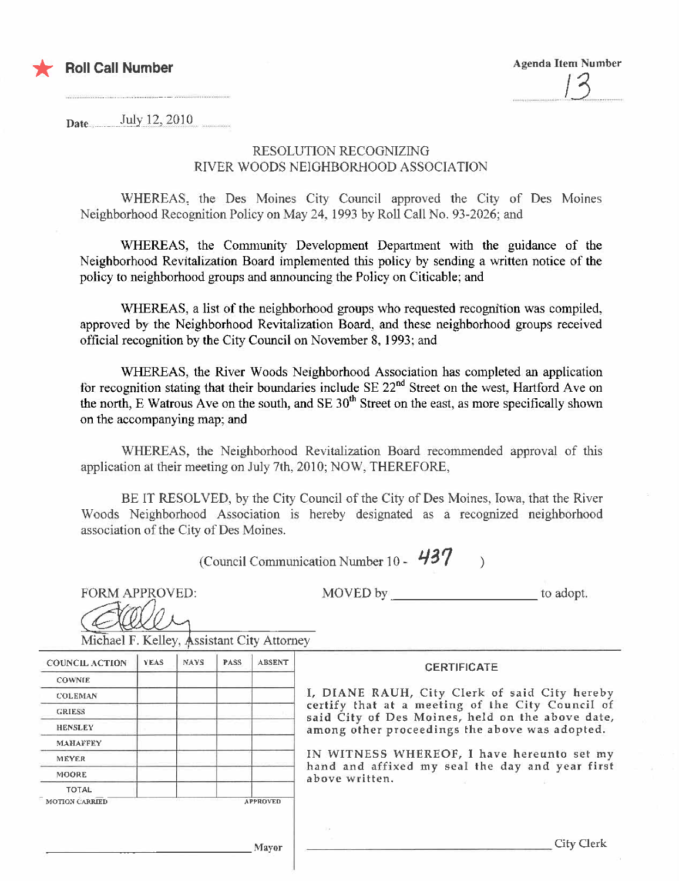

Date  $July 12,2010$ 

## RESOLUTION RECOGNIZING RIVER WOODS NEIGHBORHOOD ASSOCIATION

WHEREAS, the Des Moines City Council approved the City of Des Moines Neighborhood Recognition Policy on May 24, i 993 by Roll Call No. 93-2026; and

WHEREAS, the Community Development Department with the guidance of the Neighborhood Revitalization Board implemented this policy by sending a written notice of the policy to neighborhood groups and anouncing the Policy on Citicable; and

WHEREAS, a list of the neighborhood groups who requested recognition was compiled. approved by the Neighborhood Revitalization Board. and these neighborhood groups received official recognition by the City Council on November 8, 1993; and

WHEREAS, the River Woods Neighborhood Association has completed an application for recognition stating that their boundaries include SE 22<sup>nd</sup> Street on the west, Hartford Ave on the north, E Watrous Ave on the south, and  $SE 30<sup>th</sup>$  Street on the east, as more specifically shown on the accompanying map; and

WHEREAS, the Neighborhood Revitalization Board recommended approval of this application at their meeting on July 7th, 2010; NOW, THEREFORE,

BE IT RESOLVED, by the City Council of the City of Des Moines, Iowa, that the River Woods Neighborhood Association is hereby designated as a recognized neighborhood association of the City of Des Moines.

(Council Communication Number 10 -  $437$ )

FORM APPROVED:

FORM APPROVED: MOVED by \_\_\_\_\_\_\_\_\_\_\_\_\_\_\_\_\_\_\_\_\_\_\_\_ to adopt.

aller Michael F. Kelley, Assistant City Attorney

| <b>Michael F. Keney, <i>m</i>ssistant City Attorney</b> |       |       |             |                 |                                                                                                                                                                                                                                                                                                                            |
|---------------------------------------------------------|-------|-------|-------------|-----------------|----------------------------------------------------------------------------------------------------------------------------------------------------------------------------------------------------------------------------------------------------------------------------------------------------------------------------|
| <b>COUNCIL ACTION</b>                                   | YEAS. | NAYS. | <b>PASS</b> | <b>ABSENT</b>   | <b>CERTIFICATE</b>                                                                                                                                                                                                                                                                                                         |
| <b>COWNIE</b>                                           |       |       |             |                 |                                                                                                                                                                                                                                                                                                                            |
| <b>COLEMAN</b>                                          |       |       |             |                 | I, DIANE RAUH, City Clerk of said City hereby<br>certify that at a meeting of the City Council of<br>said City of Des Moines, held on the above date,<br>among other proceedings the above was adopted.<br>IN WITNESS WHEREOF, I have hereunto set my<br>hand and affixed my seal the day and year first<br>above written. |
| <b>GRIESS</b>                                           |       |       |             |                 |                                                                                                                                                                                                                                                                                                                            |
| <b>HENSLEY</b>                                          |       |       |             |                 |                                                                                                                                                                                                                                                                                                                            |
| <b>MAHAFFEY</b>                                         |       |       |             |                 |                                                                                                                                                                                                                                                                                                                            |
| <b>MEYER</b>                                            |       |       |             |                 |                                                                                                                                                                                                                                                                                                                            |
| <b>MOORE</b>                                            |       |       |             |                 |                                                                                                                                                                                                                                                                                                                            |
| <b>TOTAL</b>                                            |       |       |             |                 |                                                                                                                                                                                                                                                                                                                            |
| <b>MOTION CARRIED</b>                                   |       |       |             | <b>APPROVED</b> |                                                                                                                                                                                                                                                                                                                            |
|                                                         |       |       |             |                 |                                                                                                                                                                                                                                                                                                                            |
|                                                         |       |       |             | <b>Mayor</b>    | City Clerk                                                                                                                                                                                                                                                                                                                 |